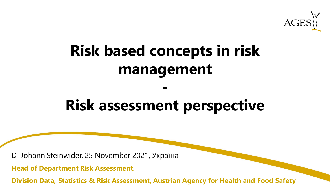

# **Risk based concepts in risk management**

# **Risk assessment perspective**

**-**

DI Johann Steinwider, 25 November 2021, Україна

**Head of Department Risk Assessment,** 

**Division Data, Statistics & Risk Assessment, Austrian Agency for Health and Food Safety**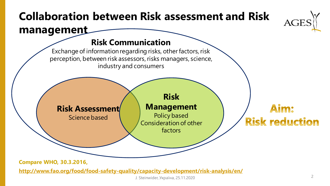## **Collaboration between Risk assessment and Risk management**

### **Risk Communication**

Exchange of information regarding risks, other factors, risk perception, between risk assessors, risks managers, science, industry and consumers

**Risk Assessment** Science based

**Management** Policy based

Consideration of other factors

**Risk**

Aim: **Risk reduction** 

**Compare WHO, 30.3.2016,** 

**<http://www.fao.org/food/food-safety-quality/capacity-development/risk-analysis/en/>**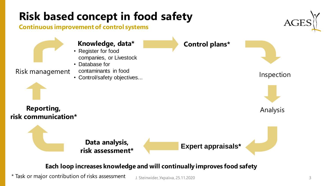### **Risk based concept in food safety Continuous improvement of control systems Control plans\* Expert appraisals\*** Risk management contaminants in food<br>
Control/safety objectives **Data analysis, risk assessment\* Reporting, risk communication\* Knowledge, data\*** • Register for food companies, or Livestock • Database for contaminants in food • Control/safety objectives... Analysis

#### **Each loop increases knowledge and will continually improves food safety**

\* Task or major contribution of risks assessment

J. Steinwider, Україна, 25.11.2020 3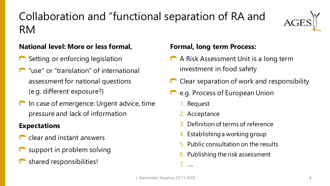## Collaboration and "functional separation of RA and RM



#### **National level: More or less formal,**

- Setting or enforcing legislation
- **T** "use" or "translation" of international assessment for national questions (e.g. different exposure?)
- **In case of emergence: Urgent advice, time** pressure and lack of information

#### **Expectations**

- clear and instant answers
- support in problem solving
- shared responsibilities!

#### **Formal, long term Process:**

- A Risk Assessment Unit is a long term investment in food safety
- Clear separation of work and responsibility
- e.g. Process of European Union
	- 1. Request
	- 2. Acceptance
	- 3. Definition of terms of reference
	- 4. Establishing a working group
	- 5. Public consultation on the results
	- 6. Publishing the risk assessment

7. ….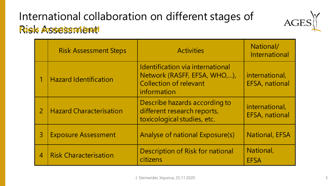### International collaboration on different stages of Risk Assessment **Focus an national level**

|                            | <b>Risk Assessment Steps</b>   | <b>Activities</b>                                                                                                       | National/<br><b>International</b>       |
|----------------------------|--------------------------------|-------------------------------------------------------------------------------------------------------------------------|-----------------------------------------|
|                            | <b>Hazard Identification</b>   | <b>Identification via international</b><br>Network (RASFF, EFSA, WHO,),<br><b>Collection of relevant</b><br>information | international,<br><b>EFSA, national</b> |
| $\overline{2}$             | <b>Hazard Characterisation</b> | Describe hazards according to<br>different research reports,<br>toxicological studies, etc.                             | international,<br><b>EFSA, national</b> |
| $\overline{3}$             | <b>Exposure Assessment</b>     | Analyse of national Exposure(s)                                                                                         | <b>National, EFSA</b>                   |
| $\boldsymbol{\mathcal{A}}$ | <b>Risk Characterisation</b>   | <b>Description of Risk for national</b><br>citizens                                                                     | National,<br><b>EFSA</b>                |

AC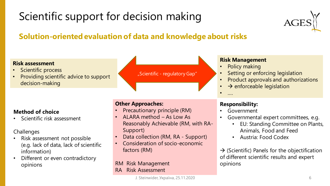# Scientific support for decision making



### **Solution-oriented evaluation of data and knowledge about risks**

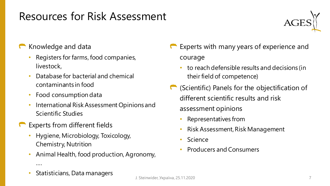### Resources for Risk Assessment

![](_page_6_Picture_1.jpeg)

- Knowledge and data
	- Registers for farms, food companies, livestock,
	- Database for bacterial and chemical contaminants in food
	- Food consumption data
	- International Risk Assessment Opinions and Scientific Studies
- Experts from different fields
	- Hygiene, Microbiology, Toxicology, Chemistry, Nutrition
	- Animal Health, food production, Agronomy,
- Experts with many years of experience and courage
	- to reach defensible results and decisions (in their field of competence)
- (Scientific) Panels for the objectification of different scientific results and risk assessment opinions
	- Representatives from
	- Risk Assessment, Risk Management
	- **Science**
	- Producers and Consumers

• Statisticians, Data managers

….